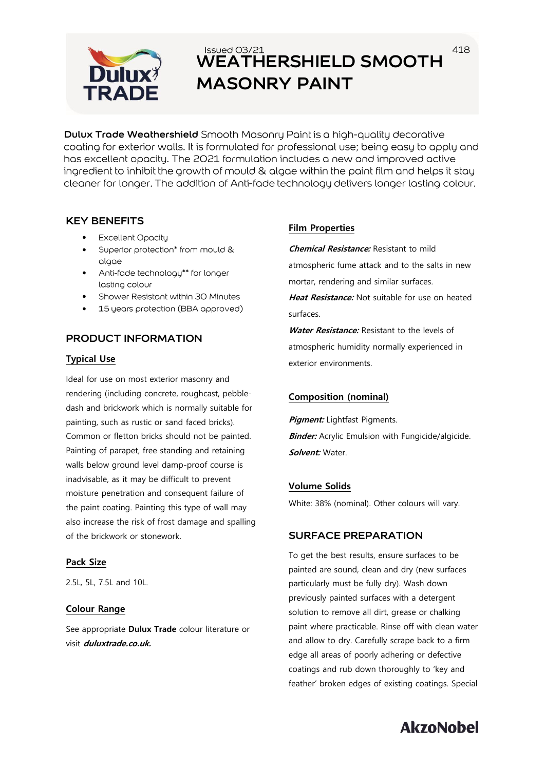

# **WEATHERSHIELD SMOOTH MASONRY PAINT**

**Dulux Trade Weathershield** Smooth Masonry Paint is a high-quality decorative coating for exterior walls. It is formulated for professional use; being easy to apply and has excellent opacity. The 2021 formulation includes a new and improved active ingredient to inhibit the growth of mould & algae within the paint film and helps it stay cleaner for longer. The addition of Anti-fade technology delivers longer lasting colour.

## **KEY BENEFITS**

- Excellent Opacity
- Superior protection\* from mould & • algae
- Anti-fade technology\*\* for longer lasting colour
- Shower Resistant within 30 Minutes
- 15 years protection (BBA approved)

## **PRODUCT INFORMATION**

#### **Typical Use**

Ideal for use on most exterior masonry and rendering (including concrete, roughcast, pebbledash and brickwork which is normally suitable for painting, such as rustic or sand faced bricks). Common or fletton bricks should not be painted. Painting of parapet, free standing and retaining walls below ground level damp-proof course is inadvisable, as it may be difficult to prevent moisture penetration and consequent failure of the paint coating. Painting this type of wall may also increase the risk of frost damage and spalling of the brickwork or stonework.

#### **Pack Size**

2.5L, 5L, 7.5L and 10L.

#### **Colour Range**

See appropriate **Dulux Trade** colour literature or visit **duluxtrade.co.uk.**

#### **Film Properties**

**Chemical Resistance:** Resistant to mild atmospheric fume attack and to the salts in new mortar, rendering and similar surfaces.

418

**Heat Resistance:** Not suitable for use on heated surfaces.

**Water Resistance:** Resistant to the levels of atmospheric humidity normally experienced in exterior environments.

#### **Composition (nominal)**

**Pigment:** Lightfast Pigments. **Binder:** Acrylic Emulsion with Fungicide/algicide. **Solvent:** Water.

#### **Volume Solids**

White: 38% (nominal). Other colours will vary.

#### **SURFACE PREPARATION**

To get the best results, ensure surfaces to be painted are sound, clean and dry (new surfaces particularly must be fully dry). Wash down previously painted surfaces with a detergent solution to remove all dirt, grease or chalking paint where practicable. Rinse off with clean water and allow to dry. Carefully scrape back to a firm edge all areas of poorly adhering or defective coatings and rub down thoroughly to 'key and feather' broken edges of existing coatings. Special

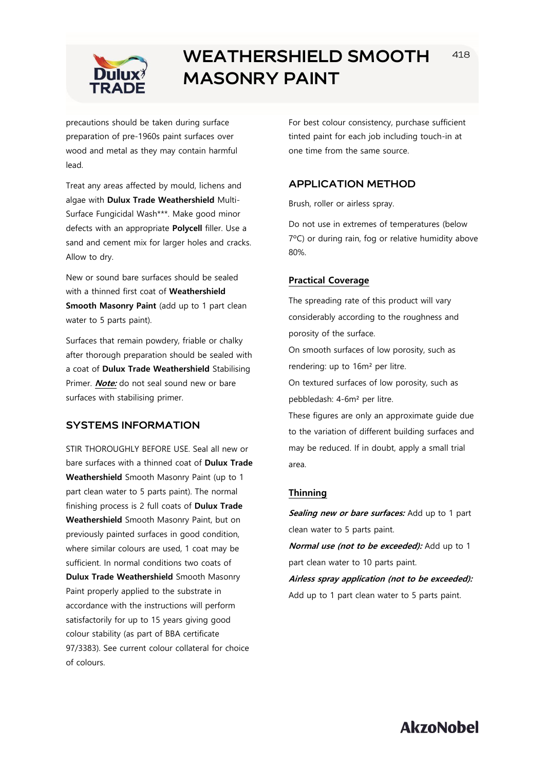

## **WEATHERSHIELD SMOOTH MASONRY PAINT**

precautions should be taken during surface preparation of pre-1960s paint surfaces over wood and metal as they may contain harmful lead.

Treat any areas affected by mould, lichens and algae with **Dulux Trade Weathershield** Multi-Surface Fungicidal Wash\*\*\*. Make good minor defects with an appropriate **Polycell** filler. Use a sand and cement mix for larger holes and cracks. Allow to dry.

New or sound bare surfaces should be sealed with a thinned first coat of **Weathershield Smooth Masonry Paint** (add up to 1 part clean water to 5 parts paint).

Surfaces that remain powdery, friable or chalky after thorough preparation should be sealed with a coat of **Dulux Trade Weathershield** Stabilising Primer. **Note:** do not seal sound new or bare surfaces with stabilising primer.

## **SYSTEMS INFORMATION**

STIR THOROUGHLY BEFORE USE. Seal all new or bare surfaces with a thinned coat of **Dulux Trade Weathershield** Smooth Masonry Paint (up to 1 part clean water to 5 parts paint). The normal finishing process is 2 full coats of **Dulux Trade Weathershield** Smooth Masonry Paint, but on previously painted surfaces in good condition, where similar colours are used, 1 coat may be sufficient. In normal conditions two coats of **Dulux Trade Weathershield** Smooth Masonry Paint properly applied to the substrate in accordance with the instructions will perform satisfactorily for up to 15 years giving good colour stability (as part of BBA certificate 97/3383). See current colour collateral for choice of colours.

For best colour consistency, purchase sufficient tinted paint for each job including touch-in at one time from the same source.

#### **APPLICATION METHOD**

Brush, roller or airless spray.

Do not use in extremes of temperatures (below 7ºC) or during rain, fog or relative humidity above 80%.

#### **Practical Coverage**

The spreading rate of this product will vary considerably according to the roughness and porosity of the surface.

On smooth surfaces of low porosity, such as rendering: up to 16m² per litre.

On textured surfaces of low porosity, such as pebbledash: 4-6m² per litre.

These figures are only an approximate guide due to the variation of different building surfaces and may be reduced. If in doubt, apply a small trial area.

#### **Thinning**

Sealing new or bare surfaces: Add up to 1 part clean water to 5 parts paint.

**Normal use (not to be exceeded):** Add up to 1 part clean water to 10 parts paint.

**Airless spray application (not to be exceeded):**  Add up to 1 part clean water to 5 parts paint.

**AkzoNobel** 

418